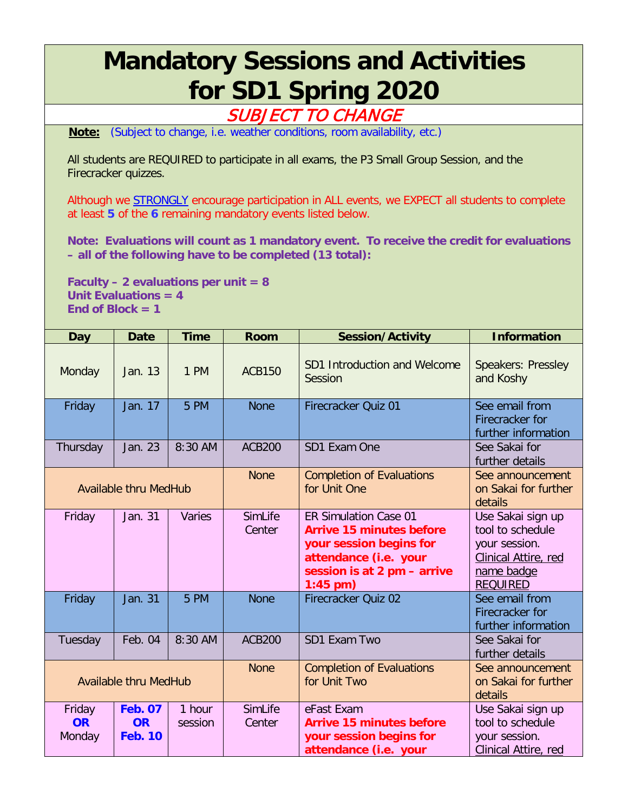## **Mandatory Sessions and Activities for SD1 Spring 2020**

## SUBJECT TO CHANGE

**Note:** (Subject to change, i.e. weather conditions, room availability, etc.)

All students are REQUIRED to participate in all exams, the P3 Small Group Session, and the Firecracker quizzes.

Although we STRONGLY encourage participation in ALL events, we EXPECT all students to complete at least **5** of the **6** remaining mandatory events listed below.

**Note: Evaluations will count as 1 mandatory event. To receive the credit for evaluations – all of the following have to be completed (13 total):**

**Faculty – 2 evaluations per unit = 8 Unit Evaluations = 4**  $\text{End of Block} = 1$ 

| <b>Day</b>                    | <b>Date</b>                                   | <b>Time</b>       | <b>Room</b>       | <b>Session/Activity</b>                                                                                                                                          | <b>Information</b>                                                                                              |
|-------------------------------|-----------------------------------------------|-------------------|-------------------|------------------------------------------------------------------------------------------------------------------------------------------------------------------|-----------------------------------------------------------------------------------------------------------------|
| Monday                        | Jan. 13                                       | 1 PM              | <b>ACB150</b>     | SD1 Introduction and Welcome<br>Session                                                                                                                          | Speakers: Pressley<br>and Koshy                                                                                 |
| Friday                        | Jan. 17                                       | 5 PM              | <b>None</b>       | Firecracker Quiz 01                                                                                                                                              | See email from<br>Firecracker for<br>further information                                                        |
| Thursday                      | Jan. 23                                       | 8:30 AM           | <b>ACB200</b>     | SD1 Exam One                                                                                                                                                     | See Sakai for<br>further details                                                                                |
| <b>Available thru MedHub</b>  |                                               |                   | <b>None</b>       | <b>Completion of Evaluations</b><br>for Unit One                                                                                                                 | See announcement<br>on Sakai for further<br>details                                                             |
| Friday                        | Jan. 31                                       | Varies            | SimLife<br>Center | <b>ER Simulation Case 01</b><br><b>Arrive 15 minutes before</b><br>your session begins for<br>attendance (i.e. your<br>session is at 2 pm - arrive<br>$1:45$ pm) | Use Sakai sign up<br>tool to schedule<br>your session.<br>Clinical Attire, red<br>name badge<br><b>REQUIRED</b> |
| Friday                        | <b>Jan. 31</b>                                | 5 PM              | <b>None</b>       | Firecracker Quiz 02                                                                                                                                              | See email from<br>Firecracker for<br>further information                                                        |
| Tuesday                       | Feb. 04                                       | 8:30 AM           | <b>ACB200</b>     | SD1 Exam Two                                                                                                                                                     | See Sakai for<br>further details                                                                                |
| <b>Available thru MedHub</b>  |                                               |                   | <b>None</b>       | <b>Completion of Evaluations</b><br>for Unit Two                                                                                                                 | See announcement<br>on Sakai for further<br>details                                                             |
| Friday<br><b>OR</b><br>Monday | <b>Feb. 07</b><br><b>OR</b><br><b>Feb. 10</b> | 1 hour<br>session | SimLife<br>Center | eFast Exam<br><b>Arrive 15 minutes before</b><br>your session begins for<br>attendance (i.e. your                                                                | Use Sakai sign up<br>tool to schedule<br>your session.<br>Clinical Attire, red                                  |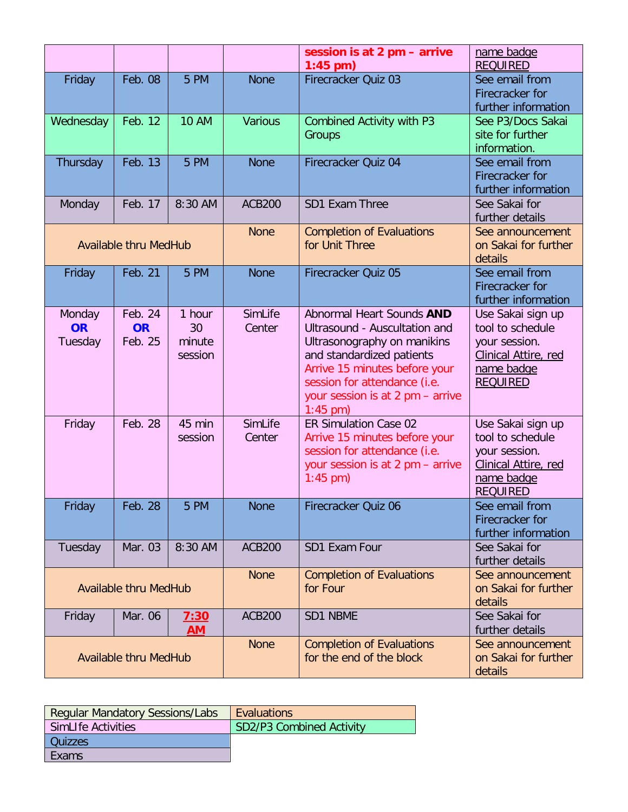|                                |                                 |                                   |                   | session is at 2 pm - arrive<br>$1:45$ pm)                                                                                                                                                                                                 | name badge<br><b>REQUIRED</b>                                                                                   |
|--------------------------------|---------------------------------|-----------------------------------|-------------------|-------------------------------------------------------------------------------------------------------------------------------------------------------------------------------------------------------------------------------------------|-----------------------------------------------------------------------------------------------------------------|
| Friday                         | <b>Feb. 08</b>                  | 5 PM                              | <b>None</b>       | Firecracker Quiz 03                                                                                                                                                                                                                       | See email from<br>Firecracker for<br>further information                                                        |
| Wednesday                      | Feb. 12                         | <b>10 AM</b>                      | <b>Various</b>    | <b>Combined Activity with P3</b><br>Groups                                                                                                                                                                                                | See P3/Docs Sakai<br>site for further<br>information.                                                           |
| Thursday                       | Feb. 13                         | 5 PM                              | <b>None</b>       | Firecracker Quiz 04                                                                                                                                                                                                                       | See email from<br>Firecracker for<br>further information                                                        |
| Monday                         | Feb. 17                         | 8:30 AM                           | <b>ACB200</b>     | SD1 Exam Three                                                                                                                                                                                                                            | See Sakai for<br>further details                                                                                |
| <b>Available thru MedHub</b>   |                                 |                                   | <b>None</b>       | <b>Completion of Evaluations</b><br>for Unit Three                                                                                                                                                                                        | See announcement<br>on Sakai for further<br>details                                                             |
| Friday                         | Feb. 21                         | 5 PM                              | <b>None</b>       | Firecracker Quiz 05                                                                                                                                                                                                                       | See email from<br>Firecracker for<br>further information                                                        |
| Monday<br><b>OR</b><br>Tuesday | Feb. 24<br><b>OR</b><br>Feb. 25 | 1 hour<br>30<br>minute<br>session | SimLife<br>Center | Abnormal Heart Sounds AND<br>Ultrasound - Auscultation and<br>Ultrasonography on manikins<br>and standardized patients<br>Arrive 15 minutes before your<br>session for attendance (i.e.<br>your session is at 2 pm - arrive<br>$1:45$ pm) | Use Sakai sign up<br>tool to schedule<br>your session.<br>Clinical Attire, red<br>name badge<br><b>REQUIRED</b> |
| Friday                         | Feb. 28                         | 45 min<br>session                 | SimLife<br>Center | ER Simulation Case 02<br>Arrive 15 minutes before your<br>session for attendance (i.e.<br>your session is at 2 pm - arrive<br>$1:45$ pm)                                                                                                  | Use Sakai sign up<br>tool to schedule<br>your session.<br>Clinical Attire, red<br>name badge<br><b>REQUIRED</b> |
| Friday                         | Feb. 28                         | 5 PM                              | <b>None</b>       | Firecracker Quiz 06                                                                                                                                                                                                                       | See email from<br>Firecracker for<br>further information                                                        |
| Tuesday                        | Mar. 03                         | 8:30 AM                           | <b>ACB200</b>     | SD1 Exam Four                                                                                                                                                                                                                             | See Sakai for<br>further details                                                                                |
| <b>Available thru MedHub</b>   |                                 |                                   | <b>None</b>       | <b>Completion of Evaluations</b><br>for Four                                                                                                                                                                                              | See announcement<br>on Sakai for further<br>details                                                             |
| Friday                         | Mar. 06                         | 7:30<br><b>AM</b>                 | <b>ACB200</b>     | SD1 NBME                                                                                                                                                                                                                                  | See Sakai for<br>further details                                                                                |
| <b>Available thru MedHub</b>   |                                 |                                   | <b>None</b>       | <b>Completion of Evaluations</b><br>for the end of the block                                                                                                                                                                              | See announcement<br>on Sakai for further<br>details                                                             |

| <b>Regular Mandatory Sessions/Labs</b> | Evaluations                     |
|----------------------------------------|---------------------------------|
| SimLIfe Activities                     | <b>SD2/P3 Combined Activity</b> |
| Quizzes                                |                                 |
| Exams                                  |                                 |